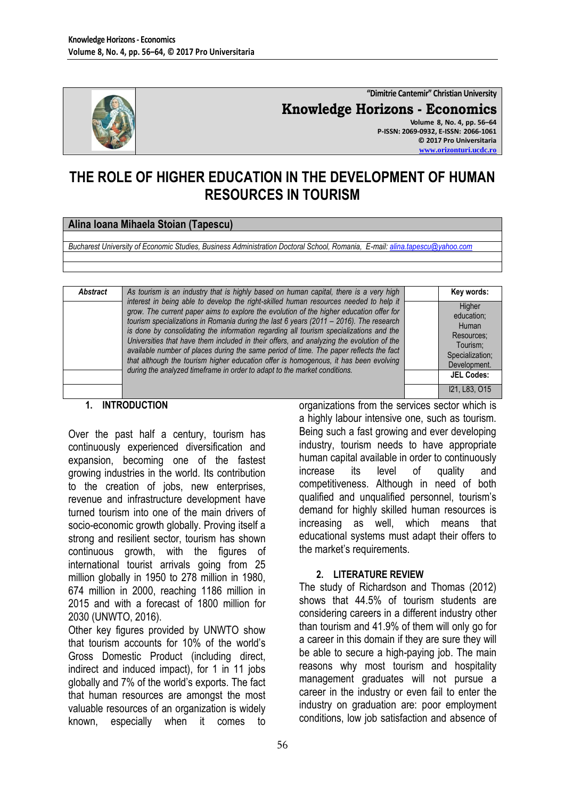

**"Dimitrie Cantemir" Christian University Knowledge Horizons - Economics Volume 8, No. 4, pp. 56–64 P-ISSN: 2069-0932, E-ISSN: 2066-1061 © 2017 Pro Universitaria [www.orizonturi.ucdc.ro](http://www.orizonturi.ucdc.ro/)**

# **THE ROLE OF HIGHER EDUCATION IN THE DEVELOPMENT OF HUMAN RESOURCES IN TOURISM**

#### **Alina Ioana Mihaela Stoian (Tapescu)**

*Bucharest University of Economic Studies, Business Administration Doctoral School, Romania, E-mail: [alina.tapescu@yahoo.com](mailto:alina.tapescu@yahoo.com)*

| Abstract | As tourism is an industry that is highly based on human capital, there is a very high                                                                                                                                                                                                                                                                                                                                                                                                                                                                                                                                                                                                                                           | Key words:                                                                                 |
|----------|---------------------------------------------------------------------------------------------------------------------------------------------------------------------------------------------------------------------------------------------------------------------------------------------------------------------------------------------------------------------------------------------------------------------------------------------------------------------------------------------------------------------------------------------------------------------------------------------------------------------------------------------------------------------------------------------------------------------------------|--------------------------------------------------------------------------------------------|
|          | interest in being able to develop the right-skilled human resources needed to help it<br>grow. The current paper aims to explore the evolution of the higher education offer for<br>tourism specializations in Romania during the last 6 years (2011 - 2016). The research<br>is done by consolidating the information regarding all tourism specializations and the<br>Universities that have them included in their offers, and analyzing the evolution of the<br>available number of places during the same period of time. The paper reflects the fact<br>that although the tourism higher education offer is homogenous, it has been evolving<br>during the analyzed timeframe in order to adapt to the market conditions. | Higher<br>education;<br>Human<br>Resources:<br>Tourism:<br>Specialization:<br>Development. |
|          |                                                                                                                                                                                                                                                                                                                                                                                                                                                                                                                                                                                                                                                                                                                                 | <b>JEL Codes:</b>                                                                          |
|          |                                                                                                                                                                                                                                                                                                                                                                                                                                                                                                                                                                                                                                                                                                                                 | I21. L83. O15                                                                              |

#### **1. INTRODUCTION**

Over the past half a century, tourism has continuously experienced diversification and expansion, becoming one of the fastest growing industries in the world. Its contribution to the creation of jobs, new enterprises, revenue and infrastructure development have turned tourism into one of the main drivers of socio-economic growth globally. Proving itself a strong and resilient sector, tourism has shown continuous growth, with the figures of international tourist arrivals going from 25 million globally in 1950 to 278 million in 1980, 674 million in 2000, reaching 1186 million in 2015 and with a forecast of 1800 million for 2030 (UNWTO, 2016).

Other key figures provided by UNWTO show that tourism accounts for 10% of the world's Gross Domestic Product (including direct, indirect and induced impact), for 1 in 11 jobs globally and 7% of the world's exports. The fact that human resources are amongst the most valuable resources of an organization is widely known, especially when it comes to organizations from the services sector which is a highly labour intensive one, such as tourism. Being such a fast growing and ever developing industry, tourism needs to have appropriate human capital available in order to continuously increase its level of quality and competitiveness. Although in need of both qualified and unqualified personnel, tourism's demand for highly skilled human resources is increasing as well, which means that educational systems must adapt their offers to the market's requirements.

#### **2. LITERATURE REVIEW**

The study of Richardson and Thomas (2012) shows that 44.5% of tourism students are considering careers in a different industry other than tourism and 41.9% of them will only go for a career in this domain if they are sure they will be able to secure a high-paying job. The main reasons why most tourism and hospitality management graduates will not pursue a career in the industry or even fail to enter the industry on graduation are: poor employment conditions, low job satisfaction and absence of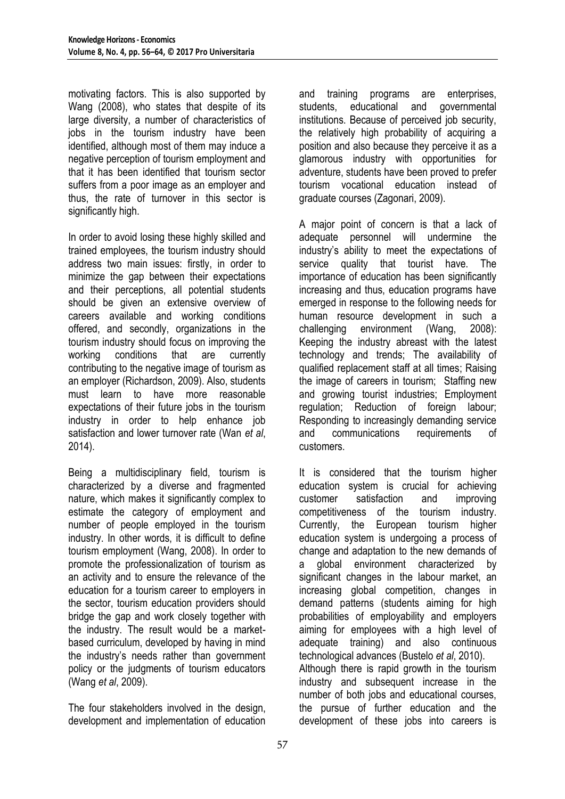motivating factors. This is also supported by Wang (2008), who states that despite of its large diversity, a number of characteristics of jobs in the tourism industry have been identified, although most of them may induce a negative perception of tourism employment and that it has been identified that tourism sector suffers from a poor image as an employer and thus, the rate of turnover in this sector is significantly high.

In order to avoid losing these highly skilled and trained employees, the tourism industry should address two main issues: firstly, in order to minimize the gap between their expectations and their perceptions, all potential students should be given an extensive overview of careers available and working conditions offered, and secondly, organizations in the tourism industry should focus on improving the working conditions that are currently contributing to the negative image of tourism as an employer (Richardson, 2009). Also, students must learn to have more reasonable expectations of their future jobs in the tourism industry in order to help enhance job satisfaction and lower turnover rate (Wan *et al*, 2014).

Being a multidisciplinary field, tourism is characterized by a diverse and fragmented nature, which makes it significantly complex to estimate the category of employment and number of people employed in the tourism industry. In other words, it is difficult to define tourism employment (Wang, 2008). In order to promote the professionalization of tourism as an activity and to ensure the relevance of the education for a tourism career to employers in the sector, tourism education providers should bridge the gap and work closely together with the industry. The result would be a marketbased curriculum, developed by having in mind the industry's needs rather than government policy or the judgments of tourism educators (Wang *et al*, 2009).

The four stakeholders involved in the design, development and implementation of education

and training programs are enterprises, students, educational and governmental institutions. Because of perceived job security, the relatively high probability of acquiring a position and also because they perceive it as a glamorous industry with opportunities for adventure, students have been proved to prefer tourism vocational education instead of graduate courses (Zagonari, 2009).

A major point of concern is that a lack of adequate personnel will undermine the industry's ability to meet the expectations of service quality that tourist have. The importance of education has been significantly increasing and thus, education programs have emerged in response to the following needs for human resource development in such a challenging environment (Wang, 2008): Keeping the industry abreast with the latest technology and trends; The availability of qualified replacement staff at all times; Raising the image of careers in tourism; Staffing new and growing tourist industries; Employment regulation; Reduction of foreign labour; Responding to increasingly demanding service and communications requirements of customers.

It is considered that the tourism higher education system is crucial for achieving customer satisfaction and improving competitiveness of the tourism industry. Currently, the European tourism higher education system is undergoing a process of change and adaptation to the new demands of a global environment characterized by significant changes in the labour market, an increasing global competition, changes in demand patterns (students aiming for high probabilities of employability and employers aiming for employees with a high level of adequate training) and also continuous technological advances (Bustelo *et al*, 2010). Although there is rapid growth in the tourism industry and subsequent increase in the number of both jobs and educational courses, the pursue of further education and the development of these jobs into careers is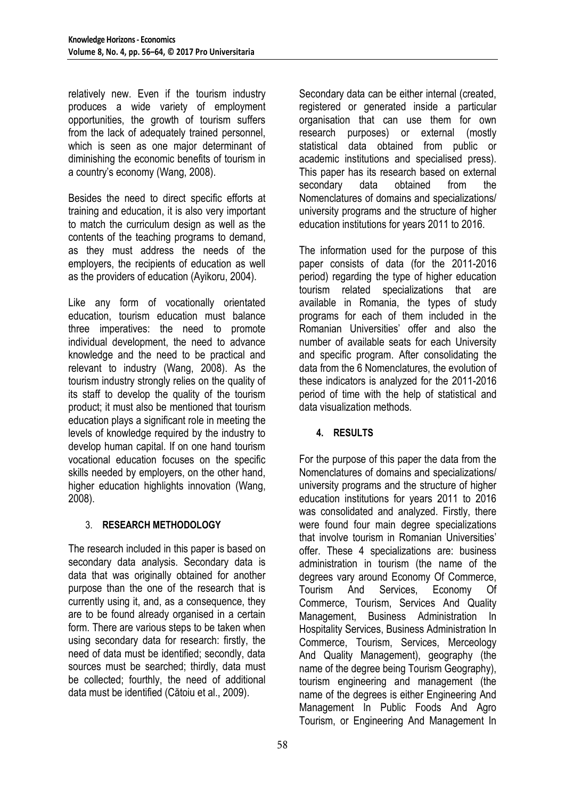relatively new. Even if the tourism industry produces a wide variety of employment opportunities, the growth of tourism suffers from the lack of adequately trained personnel, which is seen as one major determinant of diminishing the economic benefits of tourism in a country's economy (Wang, 2008).

Besides the need to direct specific efforts at training and education, it is also very important to match the curriculum design as well as the contents of the teaching programs to demand, as they must address the needs of the employers, the recipients of education as well as the providers of education (Ayikoru, 2004).

Like any form of vocationally orientated education, tourism education must balance three imperatives: the need to promote individual development, the need to advance knowledge and the need to be practical and relevant to industry (Wang, 2008). As the tourism industry strongly relies on the quality of its staff to develop the quality of the tourism product; it must also be mentioned that tourism education plays a significant role in meeting the levels of knowledge required by the industry to develop human capital. If on one hand tourism vocational education focuses on the specific skills needed by employers, on the other hand, higher education highlights innovation (Wang, 2008).

## 3. **RESEARCH METHODOLOGY**

The research included in this paper is based on secondary data analysis. Secondary data is data that was originally obtained for another purpose than the one of the research that is currently using it, and, as a consequence, they are to be found already organised in a certain form. There are various steps to be taken when using secondary data for research: firstly, the need of data must be identified; secondly, data sources must be searched; thirdly, data must be collected; fourthly, the need of additional data must be identified (Cătoiu et al., 2009).

Secondary data can be either internal (created, registered or generated inside a particular organisation that can use them for own research purposes) or external (mostly statistical data obtained from public or academic institutions and specialised press). This paper has its research based on external secondary data obtained from the Nomenclatures of domains and specializations/ university programs and the structure of higher education institutions for years 2011 to 2016.

The information used for the purpose of this paper consists of data (for the 2011-2016 period) regarding the type of higher education tourism related specializations that are available in Romania, the types of study programs for each of them included in the Romanian Universities' offer and also the number of available seats for each University and specific program. After consolidating the data from the 6 Nomenclatures, the evolution of these indicators is analyzed for the 2011-2016 period of time with the help of statistical and data visualization methods.

# **4. RESULTS**

For the purpose of this paper the data from the Nomenclatures of domains and specializations/ university programs and the structure of higher education institutions for years 2011 to 2016 was consolidated and analyzed. Firstly, there were found four main degree specializations that involve tourism in Romanian Universities' offer. These 4 specializations are: business administration in tourism (the name of the degrees vary around Economy Of Commerce, Tourism And Services, Economy Of Commerce, Tourism, Services And Quality Management, Business Administration In Hospitality Services, Business Administration In Commerce, Tourism, Services, Merceology And Quality Management), geography (the name of the degree being Tourism Geography), tourism engineering and management (the name of the degrees is either Engineering And Management In Public Foods And Agro Tourism, or Engineering And Management In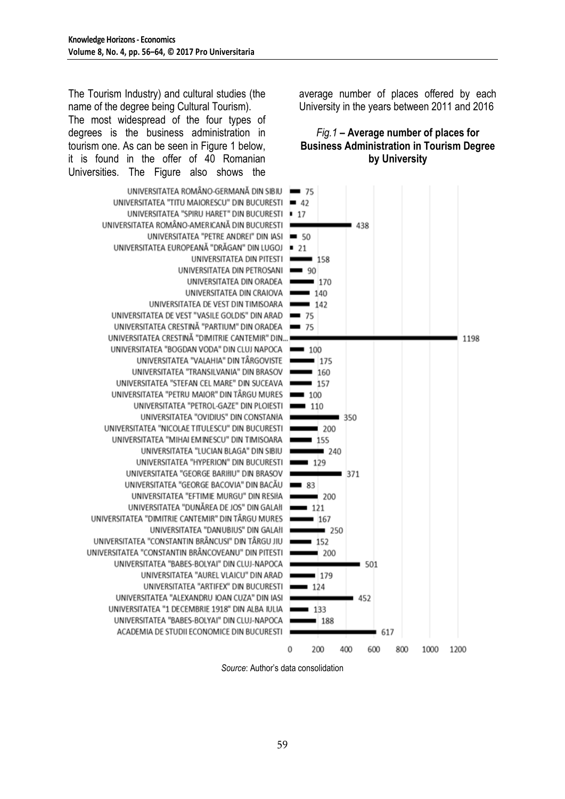The Tourism Industry) and cultural studies (the name of the degree being Cultural Tourism).

The most widespread of the four types of degrees is the business administration in tourism one. As can be seen in Figure 1 below, it is found in the offer of 40 Romanian Universities. The Figure also shows the

UNIVERSITATEA ROMÂNO-GERMANĂ DIN SIBIU UNIVERSITATEA "TITU MAIORESCU" DIN BUCURESTI UNIVERSITATEA "SPIRU HARET" DIN BUCURESTI UNIVERSITATEA ROMÂNO-AMERICANĂ DIN BUCURESTI UNIVERSITATEA "PETRE ANDREI" DIN IASI UNIVERSITATEA EUROPEANĂ "DRĂGAN" DIN LUGOJ = 21 UNIVERSITATEA DIN PITESTI UNIVERSITATEA DIN PETROSANI UNIVERSITATEA DIN ORADEA UNIVERSITATEA DIN CRAIOVA UNIVERSITATEA DE VEST DIN TIMISOARA UNIVERSITATEA DE VEST "VASILE GOLDIS" DIN ARAD UNIVERSITATEA CRESTINĂ "PARTIUM" DIN ORADEA UNIVERSITATEA CRESTINĂ "DIMITRIE CANTEMIR" DIN... UNIVERSITATEA "BOGDAN VODA" DIN CLUJ NAPOCA = 100 UNIVERSITATEA "VALAHIA" DIN TÂRGOVISTE UNIVERSITATEA "TRANSILVANIA" DIN BRASOV UNIVERSITATEA "STEFAN CEL MARE" DIN SUCEAVA UNIVERSITATEA "PETRU MAIOR" DIN TÂRGU MURES UNIVERSITATEA "PETROL-GAZE" DIN PLOIESTI UNIVERSITATEA "OVIDIUS" DIN CONSTANIA UNIVERSITATEA "NICOLAE TITULESCU" DIN BUCURESTI UNIVERSITATEA "MIHAI EM INESCU" DIN TIMISOARA UNIVERSITATEA "LUCIAN BLAGA" DIN SIBIU UNIVERSITATEA "HYPERION" DIN BUCURESTI UNIVERSITATEA "GEORGE BARIIIU" DIN BRASOV UNIVERSITATEA "GEORGE BACOVIA" DIN BACĂU UNIVERSITATEA "EFTIMIE MURGU" DIN RESIłA UNIVERSITATEA "DUNĂREA DE JOS" DIN GALAII UNIVERSITATEA "DIMITRIE CANTEMIR" DIN TÂRGU MURES UNIVERSITATEA "DANUBIUS" DIN GALAII UNIVERSITATEA "CONSTANTIN BRÂNCUSI" DIN TÂRGU JIU UNIVERSITATEA "CONSTANTIN BRÂNCOVEANU" DIN PITESTI UNIVERSITATEA "BABES-BOLYAI" DIN CLUJ-NAPOCA UNIVERSITATEA "AUREL VLAICU" DIN ARAD UNIVERSITATEA "ARTIFEX" DIN BUCURESTI UNIVERSITATEA "ALEXANDRU IOAN CUZA" DIN IASI UNIVERSITATEA "1 DECEMBRIE 1918" DIN ALBA IULIA UNIVERSITATEA "BABES-BOLYAI" DIN CLUJ-NAPOCA ACADEMIA DE STUDII ECONOMICE DIN BUCURESTI

average number of places offered by each University in the years between 2011 and 2016

## *Fig.1* **– Average number of places for Business Administration in Tourism Degree by University**



*Source*: Author's data consolidation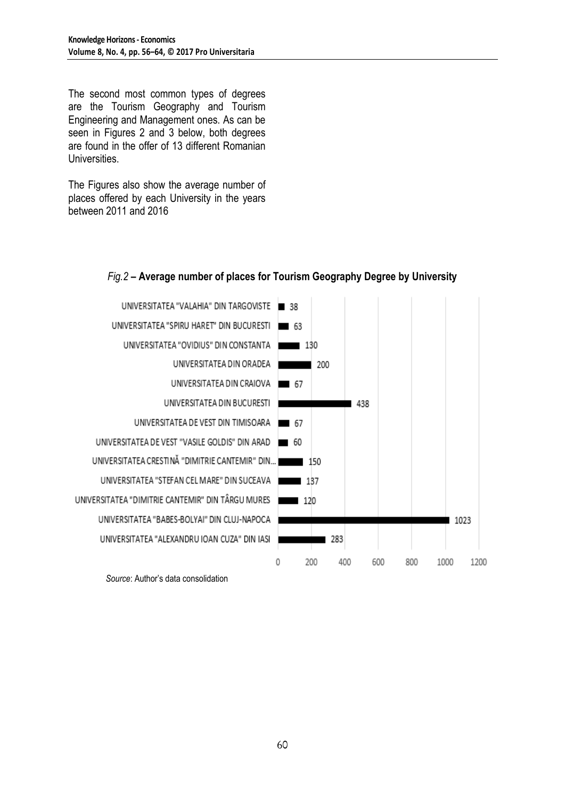The second most common types of degrees are the Tourism Geography and Tourism Engineering and Management ones. As can be seen in Figures 2 and 3 below, both degrees are found in the offer of 13 different Romanian **Universities** 

The Figures also show the average number of places offered by each University in the years between 2011 and 2016



# *Fig.2* **– Average number of places for Tourism Geography Degree by University**

*Source*: Author's data consolidation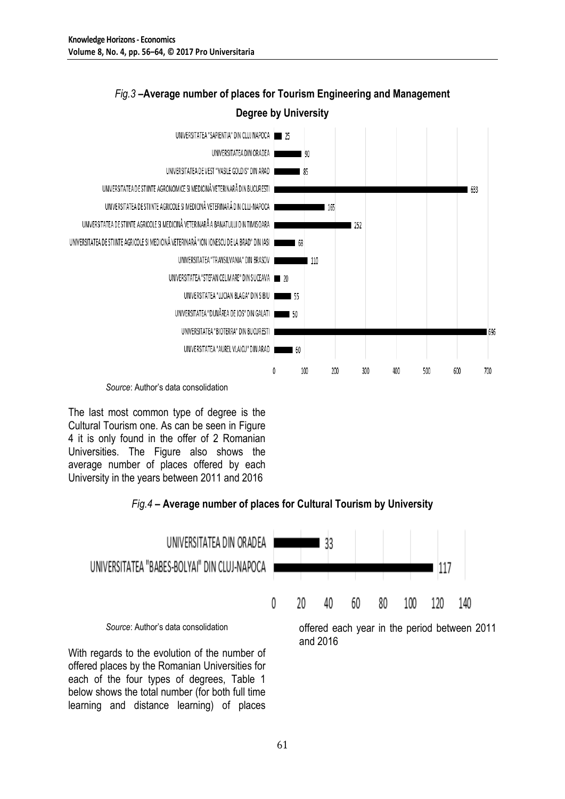

# *Fig.3* **–Average number of places for Tourism Engineering and Management Degree by University**

*Source*: Author's data consolidation

The last most common type of degree is the Cultural Tourism one. As can be seen in Figure 4 it is only found in the offer of 2 Romanian Universities. The Figure also shows the average number of places offered by each University in the years between 2011 and 2016

offered places by the Romanian Universities for each of the four types of degrees, Table 1 below shows the total number (for both full time learning and distance learning) of places

# *Fig.4* **– Average number of places for Cultural Tourism by University**



61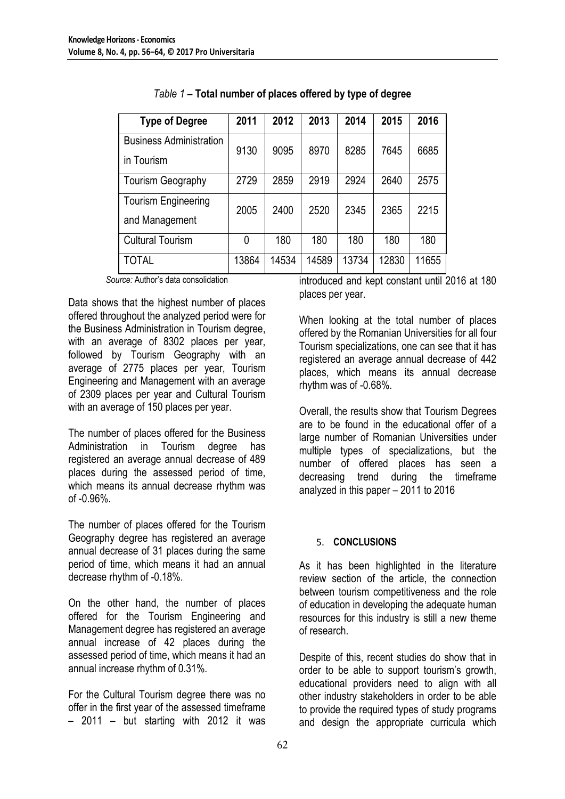| <b>Type of Degree</b>                        | 2011  | 2012  | 2013  | 2014  | 2015  | 2016  |
|----------------------------------------------|-------|-------|-------|-------|-------|-------|
| <b>Business Administration</b><br>in Tourism | 9130  | 9095  | 8970  | 8285  | 7645  | 6685  |
| <b>Tourism Geography</b>                     | 2729  | 2859  | 2919  | 2924  | 2640  | 2575  |
| <b>Tourism Engineering</b><br>and Management | 2005  | 2400  | 2520  | 2345  | 2365  | 2215  |
| <b>Cultural Tourism</b>                      | 0     | 180   | 180   | 180   | 180   | 180   |
| TOTAL                                        | 13864 | 14534 | 14589 | 13734 | 12830 | 11655 |

*Table 1* **– Total number of places offered by type of degree**

*Source:* Author's data consolidation

Data shows that the highest number of places offered throughout the analyzed period were for the Business Administration in Tourism degree, with an average of 8302 places per year, followed by Tourism Geography with an average of 2775 places per year, Tourism Engineering and Management with an average of 2309 places per year and Cultural Tourism with an average of 150 places per year.

The number of places offered for the Business Administration in Tourism degree has registered an average annual decrease of 489 places during the assessed period of time, which means its annual decrease rhythm was of -0.96%.

The number of places offered for the Tourism Geography degree has registered an average annual decrease of 31 places during the same period of time, which means it had an annual decrease rhythm of -0.18%.

On the other hand, the number of places offered for the Tourism Engineering and Management degree has registered an average annual increase of 42 places during the assessed period of time, which means it had an annual increase rhythm of 0.31%.

For the Cultural Tourism degree there was no offer in the first year of the assessed timeframe – 2011 – but starting with 2012 it was

introduced and kept constant until 2016 at 180 places per year.

When looking at the total number of places offered by the Romanian Universities for all four Tourism specializations, one can see that it has registered an average annual decrease of 442 places, which means its annual decrease rhythm was of -0.68%.

Overall, the results show that Tourism Degrees are to be found in the educational offer of a large number of Romanian Universities under multiple types of specializations, but the number of offered places has seen a decreasing trend during the timeframe analyzed in this paper – 2011 to 2016

## 5. **CONCLUSIONS**

As it has been highlighted in the literature review section of the article, the connection between tourism competitiveness and the role of education in developing the adequate human resources for this industry is still a new theme of research.

Despite of this, recent studies do show that in order to be able to support tourism's growth, educational providers need to align with all other industry stakeholders in order to be able to provide the required types of study programs and design the appropriate curricula which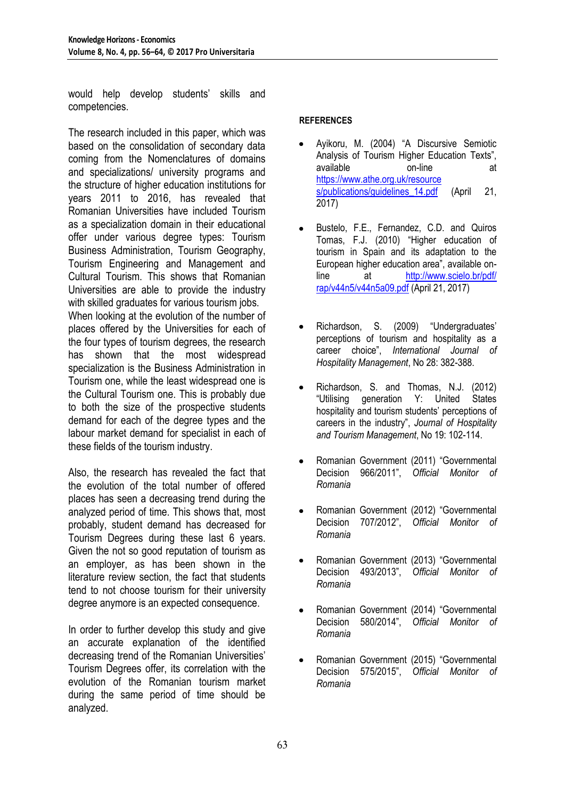would help develop students' skills and competencies.

The research included in this paper, which was based on the consolidation of secondary data coming from the Nomenclatures of domains and specializations/ university programs and the structure of higher education institutions for years 2011 to 2016, has revealed that Romanian Universities have included Tourism as a specialization domain in their educational offer under various degree types: Tourism Business Administration, Tourism Geography, Tourism Engineering and Management and Cultural Tourism. This shows that Romanian Universities are able to provide the industry with skilled graduates for various tourism jobs. When looking at the evolution of the number of places offered by the Universities for each of the four types of tourism degrees, the research has shown that the most widespread specialization is the Business Administration in Tourism one, while the least widespread one is the Cultural Tourism one. This is probably due to both the size of the prospective students demand for each of the degree types and the labour market demand for specialist in each of these fields of the tourism industry.

Also, the research has revealed the fact that the evolution of the total number of offered places has seen a decreasing trend during the analyzed period of time. This shows that, most probably, student demand has decreased for Tourism Degrees during these last 6 years. Given the not so good reputation of tourism as an employer, as has been shown in the literature review section, the fact that students tend to not choose tourism for their university degree anymore is an expected consequence.

In order to further develop this study and give an accurate explanation of the identified decreasing trend of the Romanian Universities' Tourism Degrees offer, its correlation with the evolution of the Romanian tourism market during the same period of time should be analyzed.

#### **REFERENCES**

- Ayikoru, M. (2004) "A Discursive Semiotic Analysis of Tourism Higher Education Texts", available on-line at [https://www.athe.org.uk/resource](https://www.athe.org.uk/resource%20s/publications/guidelines_14.pdf)  [s/publications/guidelines\\_14.pdf](https://www.athe.org.uk/resource%20s/publications/guidelines_14.pdf) (April 21, 2017)
- Bustelo, F.E., Fernandez, C.D. and Quiros Tomas, F.J. (2010) "Higher education of tourism in Spain and its adaptation to the European higher education area", available online at [http://www.scielo.br/pdf/](http://www.scielo.br/pdf/%20rap/v44n5/v44n5a09.pdf)  [rap/v44n5/v44n5a09.pdf](http://www.scielo.br/pdf/%20rap/v44n5/v44n5a09.pdf) (April 21, 2017)
- Richardson, S. (2009) "Undergraduates' perceptions of tourism and hospitality as a career choice", *International Journal of Hospitality Management*, No 28: 382-388.
- Richardson, S. and Thomas, N.J. (2012) "Utilising generation Y: United States hospitality and tourism students' perceptions of careers in the industry", *Journal of Hospitality and Tourism Management*, No 19: 102-114.
- Romanian Government (2011) "Governmental Decision 966/2011", *Official Monitor of Romania*
- Romanian Government (2012) "Governmental  $\bullet$ Decision 707/2012", *Official Monitor of Romania*
- Romanian Government (2013) "Governmental Decision 493/2013", *Official Monitor of Romania*
- Romanian Government (2014) "Governmental Decision 580/2014", *Official Monitor of Romania*
- Romanian Government (2015) "Governmental Decision 575/2015", *Official Monitor of Romania*